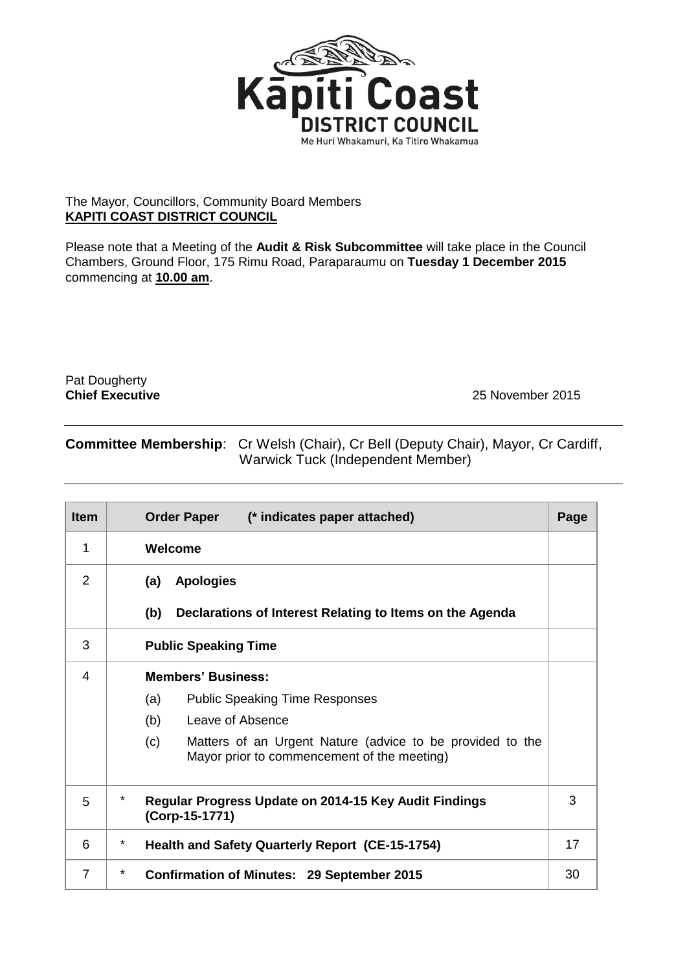

## The Mayor, Councillors, Community Board Members **KAPITI COAST DISTRICT COUNCIL**

Please note that a Meeting of the **Audit & Risk Subcommittee** will take place in the Council Chambers, Ground Floor, 175 Rimu Road, Paraparaumu on **Tuesday 1 December 2015** commencing at **10.00 am**.

Pat Dougherty<br>Chief Executive

**Chief Executive** 25 November 2015

## **Committee Membership**: Cr Welsh (Chair), Cr Bell (Deputy Chair), Mayor, Cr Cardiff, Warwick Tuck (Independent Member)

| <b>Item</b>    | <b>Order Paper</b><br>(* indicates paper attached)                                                              | Page |  |
|----------------|-----------------------------------------------------------------------------------------------------------------|------|--|
| 1              | Welcome                                                                                                         |      |  |
| 2              | <b>Apologies</b><br>(a)                                                                                         |      |  |
|                | (b)<br>Declarations of Interest Relating to Items on the Agenda                                                 |      |  |
| 3              | <b>Public Speaking Time</b>                                                                                     |      |  |
| 4              | <b>Members' Business:</b>                                                                                       |      |  |
|                | (a)<br><b>Public Speaking Time Responses</b>                                                                    |      |  |
|                | (b)<br>Leave of Absence                                                                                         |      |  |
|                | (c)<br>Matters of an Urgent Nature (advice to be provided to the<br>Mayor prior to commencement of the meeting) |      |  |
| 5              | *<br>Regular Progress Update on 2014-15 Key Audit Findings<br>(Corp-15-1771)                                    |      |  |
| 6              | $\star$<br>Health and Safety Quarterly Report (CE-15-1754)                                                      |      |  |
| $\overline{7}$ | *<br><b>Confirmation of Minutes: 29 September 2015</b>                                                          |      |  |